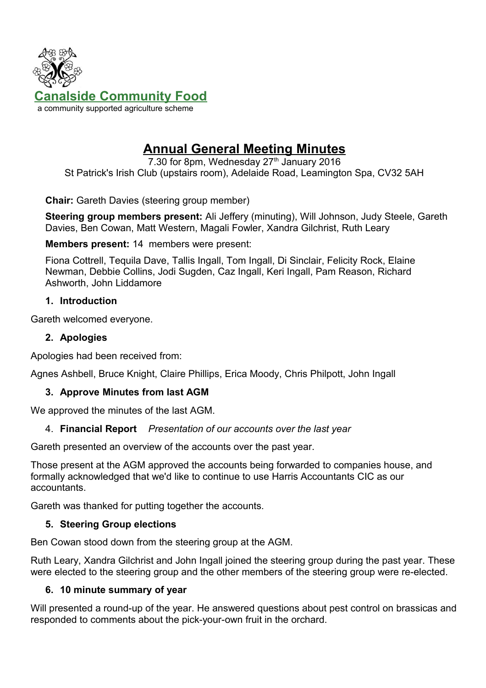

# **Annual General Meeting Minutes**

7.30 for 8pm, Wednesday  $27<sup>th</sup>$  January 2016 St Patrick's Irish Club (upstairs room), Adelaide Road, Leamington Spa, CV32 5AH

**Chair:** Gareth Davies (steering group member)

**Steering group members present:** Ali Jeffery (minuting), Will Johnson, Judy Steele, Gareth Davies, Ben Cowan, Matt Western, Magali Fowler, Xandra Gilchrist, Ruth Leary

**Members present:** 14 members were present:

Fiona Cottrell, Tequila Dave, Tallis Ingall, Tom Ingall, Di Sinclair, Felicity Rock, Elaine Newman, Debbie Collins, Jodi Sugden, Caz Ingall, Keri Ingall, Pam Reason, Richard Ashworth, John Liddamore

#### **1. Introduction**

Gareth welcomed everyone.

## **2. Apologies**

Apologies had been received from:

Agnes Ashbell, Bruce Knight, Claire Phillips, Erica Moody, Chris Philpott, John Ingall

## **3. Approve Minutes from last AGM**

We approved the minutes of the last AGM.

## 4. **Financial Report** *Presentation of our accounts over the last year*

Gareth presented an overview of the accounts over the past year.

Those present at the AGM approved the accounts being forwarded to companies house, and formally acknowledged that we'd like to continue to use Harris Accountants CIC as our accountants.

Gareth was thanked for putting together the accounts.

## **5. Steering Group elections**

Ben Cowan stood down from the steering group at the AGM.

Ruth Leary, Xandra Gilchrist and John Ingall joined the steering group during the past year. These were elected to the steering group and the other members of the steering group were re-elected.

## **6. 10 minute summary of year**

Will presented a round-up of the year. He answered questions about pest control on brassicas and responded to comments about the pick-your-own fruit in the orchard.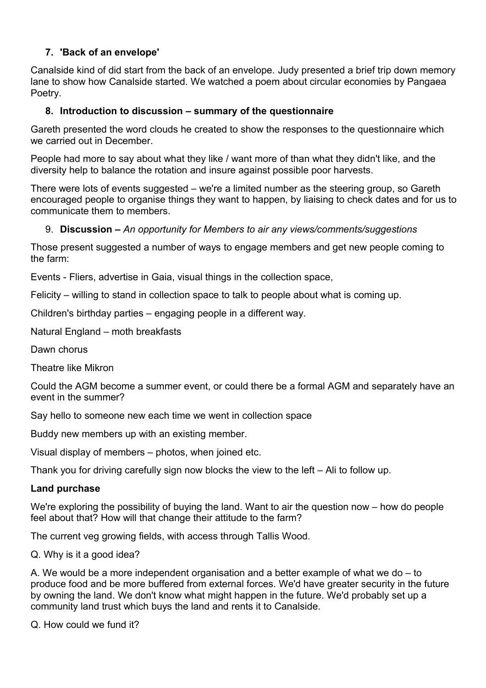## **7. 'Back of an envelope'**

Canalside kind of did start from the back of an envelope. Judy presented a brief trip down memory lane to show how Canalside started. We watched a poem about circular economies by Pangaea Poetry.

### **8. Introduction to discussion – summary of the questionnaire**

Gareth presented the word clouds he created to show the responses to the questionnaire which we carried out in December.

People had more to say about what they like / want more of than what they didn't like, and the diversity help to balance the rotation and insure against possible poor harvests.

There were lots of events suggested – we're a limited number as the steering group, so Gareth encouraged people to organise things they want to happen, by liaising to check dates and for us to communicate them to members.

#### 9. **Discussion –** *An opportunity for Members to air any views/comments/suggestions*

Those present suggested a number of ways to engage members and get new people coming to the farm:

Events - Fliers, advertise in Gaia, visual things in the collection space,

Felicity – willing to stand in collection space to talk to people about what is coming up.

Children's birthday parties – engaging people in a different way.

Natural England – moth breakfasts

Dawn chorus

Theatre like Mikron

Could the AGM become a summer event, or could there be a formal AGM and separately have an event in the summer?

Say hello to someone new each time we went in collection space

Buddy new members up with an existing member.

Visual display of members – photos, when joined etc.

Thank you for driving carefully sign now blocks the view to the left – Ali to follow up.

#### **Land purchase**

We're exploring the possibility of buying the land. Want to air the question now – how do people feel about that? How will that change their attitude to the farm?

The current veg growing fields, with access through Tallis Wood.

Q. Why is it a good idea?

A. We would be a more independent organisation and a better example of what we do – to produce food and be more buffered from external forces. We'd have greater security in the future by owning the land. We don't know what might happen in the future. We'd probably set up a community land trust which buys the land and rents it to Canalside.

Q. How could we fund it?